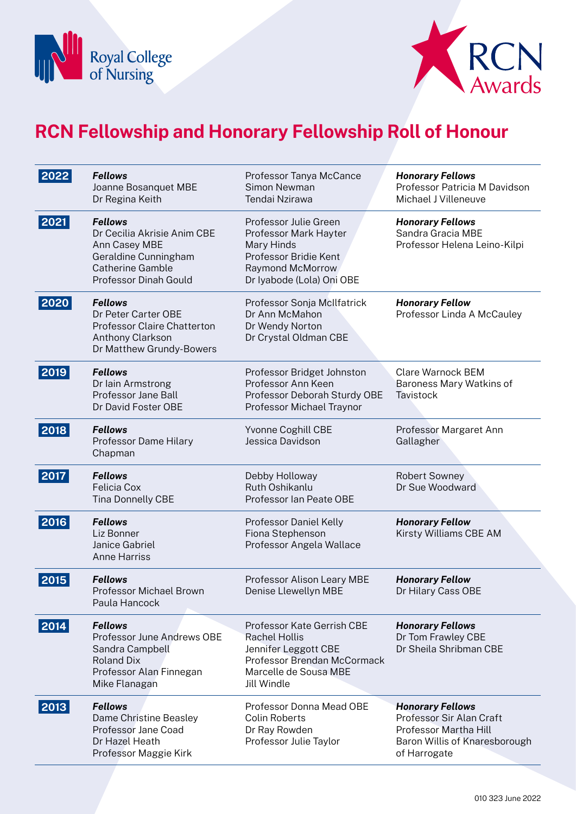



| 2022 | <b>Fellows</b><br>Joanne Bosanquet MBE<br>Dr Regina Keith                                                                                         | Professor Tanya McCance<br>Simon Newman<br>Tendai Nzirawa                                                                                                | <b>Honorary Fellows</b><br>Professor Patricia M Davidson<br>Michael J Villeneuve                                              |
|------|---------------------------------------------------------------------------------------------------------------------------------------------------|----------------------------------------------------------------------------------------------------------------------------------------------------------|-------------------------------------------------------------------------------------------------------------------------------|
| 2021 | <b>Fellows</b><br>Dr Cecilia Akrisie Anim CBE<br>Ann Casey MBE<br>Geraldine Cunningham<br><b>Catherine Gamble</b><br><b>Professor Dinah Gould</b> | Professor Julie Green<br>Professor Mark Hayter<br>Mary Hinds<br>Professor Bridie Kent<br>Raymond McMorrow<br>Dr lyabode (Lola) Oni OBE                   | <b>Honorary Fellows</b><br>Sandra Gracia MBE<br>Professor Helena Leino-Kilpi                                                  |
| 2020 | <b>Fellows</b><br>Dr Peter Carter OBE<br><b>Professor Claire Chatterton</b><br>Anthony Clarkson<br>Dr Matthew Grundy-Bowers                       | Professor Sonja McIlfatrick<br>Dr Ann McMahon<br>Dr Wendy Norton<br>Dr Crystal Oldman CBE                                                                | <b>Honorary Fellow</b><br>Professor Linda A McCauley                                                                          |
| 2019 | <b>Fellows</b><br>Dr Iain Armstrong<br>Professor Jane Ball<br>Dr David Foster OBE                                                                 | Professor Bridget Johnston<br>Professor Ann Keen<br>Professor Deborah Sturdy OBE<br>Professor Michael Traynor                                            | <b>Clare Warnock BEM</b><br>Baroness Mary Watkins of<br>Tavistock                                                             |
| 2018 | <b>Fellows</b><br>Professor Dame Hilary<br>Chapman                                                                                                | Yvonne Coghill CBE<br>Jessica Davidson                                                                                                                   | Professor Margaret Ann<br>Gallagher                                                                                           |
| 2017 | <b>Fellows</b><br><b>Felicia Cox</b><br><b>Tina Donnelly CBE</b>                                                                                  | Debby Holloway<br>Ruth Oshikanlu<br>Professor Ian Peate OBE                                                                                              | <b>Robert Sowney</b><br>Dr Sue Woodward                                                                                       |
| 2016 | <b>Fellows</b><br>Liz Bonner<br>Janice Gabriel<br><b>Anne Harriss</b>                                                                             | Professor Daniel Kelly<br>Fiona Stephenson<br>Professor Angela Wallace                                                                                   | <b>Honorary Fellow</b><br>Kirsty Williams CBE AM                                                                              |
| 2015 | <b>Fellows</b><br>Professor Michael Brown<br>Paula Hancock                                                                                        | Professor Alison Leary MBE<br>Denise Llewellyn MBE                                                                                                       | <b>Honorary Fellow</b><br>Dr Hilary Cass OBE                                                                                  |
| 2014 | <b>Fellows</b><br>Professor June Andrews OBE<br>Sandra Campbell<br><b>Roland Dix</b><br>Professor Alan Finnegan<br>Mike Flanagan                  | Professor Kate Gerrish CBE<br><b>Rachel Hollis</b><br>Jennifer Leggott CBE<br>Professor Brendan McCormack<br>Marcelle de Sousa MBE<br><b>Jill Windle</b> | <b>Honorary Fellows</b><br>Dr Tom Frawley CBE<br>Dr Sheila Shribman CBE                                                       |
| 2013 | <b>Fellows</b><br>Dame Christine Beasley<br>Professor Jane Coad<br>Dr Hazel Heath<br>Professor Maggie Kirk                                        | Professor Donna Mead OBE<br><b>Colin Roberts</b><br>Dr Ray Rowden<br>Professor Julie Taylor                                                              | <b>Honorary Fellows</b><br>Professor Sir Alan Craft<br>Professor Martha Hill<br>Baron Willis of Knaresborough<br>of Harrogate |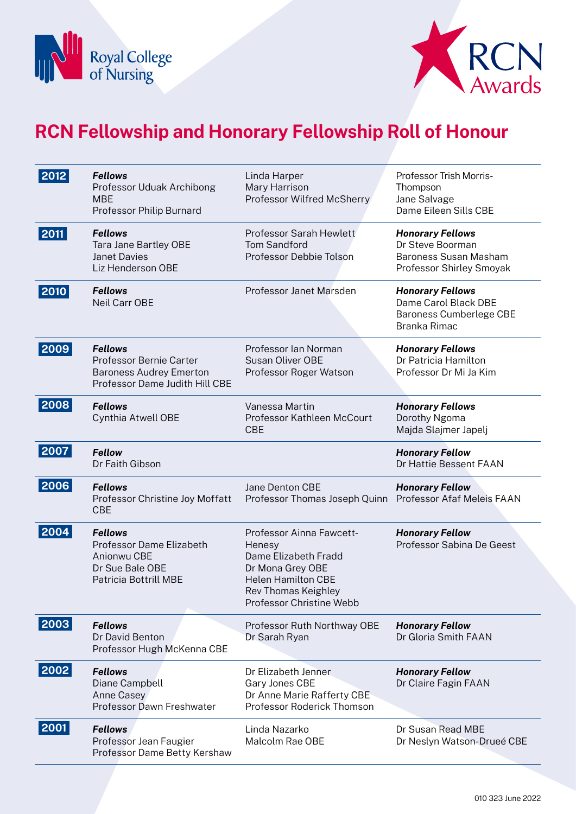



| 2012 | <b>Fellows</b><br>Professor Uduak Archibong<br><b>MBE</b><br>Professor Philip Burnard                         | Linda Harper<br>Mary Harrison<br>Professor Wilfred McSherry                                                                                                    | Professor Trish Morris-<br>Thompson<br>Jane Salvage<br>Dame Eileen Sills CBE                            |
|------|---------------------------------------------------------------------------------------------------------------|----------------------------------------------------------------------------------------------------------------------------------------------------------------|---------------------------------------------------------------------------------------------------------|
| 2011 | <b>Fellows</b><br>Tara Jane Bartley OBE<br><b>Janet Davies</b><br>Liz Henderson OBE                           | Professor Sarah Hewlett<br><b>Tom Sandford</b><br>Professor Debbie Tolson                                                                                      | <b>Honorary Fellows</b><br>Dr Steve Boorman<br><b>Baroness Susan Masham</b><br>Professor Shirley Smoyak |
| 2010 | <b>Fellows</b><br>Neil Carr OBE                                                                               | Professor Janet Marsden                                                                                                                                        | <b>Honorary Fellows</b><br>Dame Carol Black DBE<br>Baroness Cumberlege CBE<br>Branka Rimac              |
| 2009 | <b>Fellows</b><br>Professor Bernie Carter<br><b>Baroness Audrey Emerton</b><br>Professor Dame Judith Hill CBE | Professor Ian Norman<br><b>Susan Oliver OBE</b><br>Professor Roger Watson                                                                                      | <b>Honorary Fellows</b><br>Dr Patricia Hamilton<br>Professor Dr Mi Ja Kim                               |
| 2008 | <b>Fellows</b><br>Cynthia Atwell OBE                                                                          | Vanessa Martin<br>Professor Kathleen McCourt<br><b>CBE</b>                                                                                                     | <b>Honorary Fellows</b><br>Dorothy Ngoma<br>Majda Slajmer Japelj                                        |
| 2007 | <b>Fellow</b><br>Dr Faith Gibson                                                                              |                                                                                                                                                                | <b>Honorary Fellow</b><br>Dr Hattie Bessent FAAN                                                        |
| 2006 | <b>Fellows</b><br>Professor Christine Joy Moffatt<br><b>CBE</b>                                               | Jane Denton CBE<br>Professor Thomas Joseph Quinn                                                                                                               | <b>Honorary Fellow</b><br>Professor Afaf Meleis FAAN                                                    |
| 2004 | <b>Fellows</b><br>Professor Dame Elizabeth<br>Anionwu CBE<br>Dr Sue Bale OBE<br><b>Patricia Bottrill MBE</b>  | Professor Ainna Fawcett-<br>Henesy<br>Dame Elizabeth Fradd<br>Dr Mona Grey OBE<br><b>Helen Hamilton CBE</b><br>Rev Thomas Keighley<br>Professor Christine Webb | <b>Honorary Fellow</b><br>Professor Sabina De Geest                                                     |
| 2003 | <b>Fellows</b><br>Dr David Benton<br>Professor Hugh McKenna CBE                                               | Professor Ruth Northway OBE<br>Dr Sarah Ryan                                                                                                                   | <b>Honorary Fellow</b><br>Dr Gloria Smith FAAN                                                          |
| 2002 | <b>Fellows</b><br>Diane Campbell<br>Anne Casey<br>Professor Dawn Freshwater                                   | Dr Elizabeth Jenner<br>Gary Jones CBE<br>Dr Anne Marie Rafferty CBE<br>Professor Roderick Thomson                                                              | <b>Honorary Fellow</b><br>Dr Claire Fagin FAAN                                                          |
| 2001 | <b>Fellows</b><br>Professor Jean Faugier<br>Professor Dame Betty Kershaw                                      | Linda Nazarko<br>Malcolm Rae OBE                                                                                                                               | Dr Susan Read MBE<br>Dr Neslyn Watson-Drueé CBE                                                         |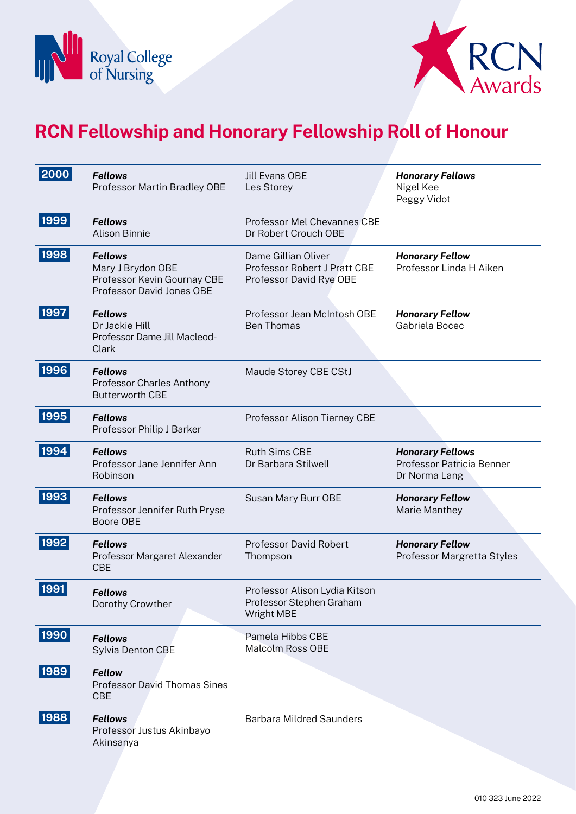



| 2000 | <b>Fellows</b><br>Professor Martin Bradley OBE                                                  | <b>Jill Evans OBE</b><br>Les Storey                                            | <b>Honorary Fellows</b><br>Nigel Kee<br>Peggy Vidot                   |
|------|-------------------------------------------------------------------------------------------------|--------------------------------------------------------------------------------|-----------------------------------------------------------------------|
| 1999 | <b>Fellows</b><br><b>Alison Binnie</b>                                                          | Professor Mel Chevannes CBE<br>Dr Robert Crouch OBE                            |                                                                       |
| 1998 | <b>Fellows</b><br>Mary J Brydon OBE<br>Professor Kevin Gournay CBE<br>Professor David Jones OBE | Dame Gillian Oliver<br>Professor Robert J Pratt CBE<br>Professor David Rye OBE | <b>Honorary Fellow</b><br>Professor Linda H Aiken                     |
| 1997 | <b>Fellows</b><br>Dr Jackie Hill<br>Professor Dame Jill Macleod-<br><b>Clark</b>                | Professor Jean McIntosh OBE<br><b>Ben Thomas</b>                               | <b>Honorary Fellow</b><br>Gabriela Bocec                              |
| 1996 | <b>Fellows</b><br>Professor Charles Anthony<br><b>Butterworth CBE</b>                           | Maude Storey CBE CStJ                                                          |                                                                       |
| 1995 | <b>Fellows</b><br>Professor Philip J Barker                                                     | Professor Alison Tierney CBE                                                   |                                                                       |
| 1994 | <b>Fellows</b><br>Professor Jane Jennifer Ann<br>Robinson                                       | Ruth Sims CBE<br>Dr Barbara Stilwell                                           | <b>Honorary Fellows</b><br>Professor Patricia Benner<br>Dr Norma Lang |
| 1993 | <b>Fellows</b><br>Professor Jennifer Ruth Pryse<br>Boore OBE                                    | Susan Mary Burr OBE                                                            | <b>Honorary Fellow</b><br>Marie Manthey                               |
| 1992 | <b>Fellows</b><br>Professor Margaret Alexander<br><b>CBE</b>                                    | <b>Professor David Robert</b><br>Thompson                                      | <b>Honorary Fellow</b><br>Professor Margretta Styles                  |
| 1991 | <b>Fellows</b><br>Dorothy Crowther                                                              | Professor Alison Lydia Kitson<br>Professor Stephen Graham<br>Wright MBE        |                                                                       |
| 1990 | <b>Fellows</b><br>Sylvia Denton CBE                                                             | Pamela Hibbs CBE<br><b>Malcolm Ross OBE</b>                                    |                                                                       |
| 1989 | <b>Fellow</b><br><b>Professor David Thomas Sines</b><br><b>CBE</b>                              |                                                                                |                                                                       |
| 1988 | <b>Fellows</b><br>Professor Justus Akinbayo<br>Akinsanya                                        | <b>Barbara Mildred Saunders</b>                                                |                                                                       |
|      |                                                                                                 |                                                                                |                                                                       |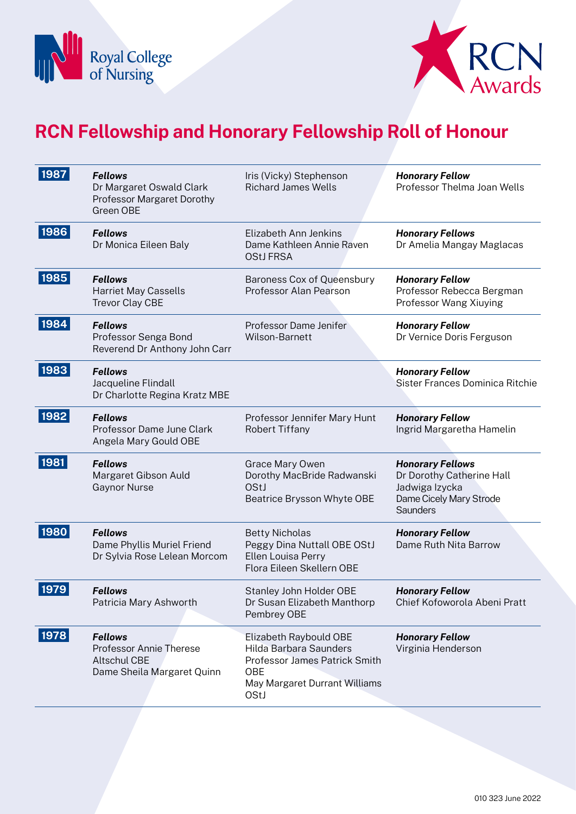



| 1987 | <b>Fellows</b><br>Dr Margaret Oswald Clark<br>Professor Margaret Dorothy<br>Green OBE          | Iris (Vicky) Stephenson<br><b>Richard James Wells</b>                                                                             | <b>Honorary Fellow</b><br>Professor Thelma Joan Wells                                                                |
|------|------------------------------------------------------------------------------------------------|-----------------------------------------------------------------------------------------------------------------------------------|----------------------------------------------------------------------------------------------------------------------|
| 1986 | <b>Fellows</b><br>Dr Monica Eileen Baly                                                        | Elizabeth Ann Jenkins<br>Dame Kathleen Annie Raven<br><b>OStJ FRSA</b>                                                            | <b>Honorary Fellows</b><br>Dr Amelia Mangay Maglacas                                                                 |
| 1985 | <b>Fellows</b><br><b>Harriet May Cassells</b><br><b>Trevor Clay CBE</b>                        | Baroness Cox of Queensbury<br><b>Professor Alan Pearson</b>                                                                       | <b>Honorary Fellow</b><br>Professor Rebecca Bergman<br>Professor Wang Xiuying                                        |
| 1984 | <b>Fellows</b><br>Professor Senga Bond<br>Reverend Dr Anthony John Carr                        | Professor Dame Jenifer<br>Wilson-Barnett                                                                                          | <b>Honorary Fellow</b><br>Dr Vernice Doris Ferguson                                                                  |
| 1983 | <b>Fellows</b><br>Jacqueline Flindall<br>Dr Charlotte Regina Kratz MBE                         |                                                                                                                                   | <b>Honorary Fellow</b><br>Sister Frances Dominica Ritchie                                                            |
| 1982 | <b>Fellows</b><br>Professor Dame June Clark<br>Angela Mary Gould OBE                           | Professor Jennifer Mary Hunt<br><b>Robert Tiffany</b>                                                                             | <b>Honorary Fellow</b><br>Ingrid Margaretha Hamelin                                                                  |
| 1981 | <b>Fellows</b><br>Margaret Gibson Auld<br><b>Gaynor Nurse</b>                                  | Grace Mary Owen<br>Dorothy MacBride Radwanski<br>OStJ<br>Beatrice Brysson Whyte OBE                                               | <b>Honorary Fellows</b><br>Dr Dorothy Catherine Hall<br>Jadwiga Izycka<br>Dame Cicely Mary Strode<br><b>Saunders</b> |
| 1980 | <b>Fellows</b><br>Dame Phyllis Muriel Friend<br>Dr Sylvia Rose Lelean Morcom                   | <b>Betty Nicholas</b><br>Peggy Dina Nuttall OBE OStJ<br>Ellen Louisa Perry<br>Flora Eileen Skellern OBE                           | <b>Honorary Fellow</b><br>Dame Ruth Nita Barrow                                                                      |
| 1979 | <b>Fellows</b><br>Patricia Mary Ashworth                                                       | Stanley John Holder OBE<br>Dr Susan Elizabeth Manthorp<br>Pembrey OBE                                                             | <b>Honorary Fellow</b><br>Chief Kofoworola Abeni Pratt                                                               |
| 1978 | <b>Fellows</b><br>Professor Annie Therese<br><b>Altschul CBE</b><br>Dame Sheila Margaret Quinn | Elizabeth Raybould OBE<br>Hilda Barbara Saunders<br>Professor James Patrick Smith<br>OBE<br>May Margaret Durrant Williams<br>OStJ | <b>Honorary Fellow</b><br>Virginia Henderson                                                                         |